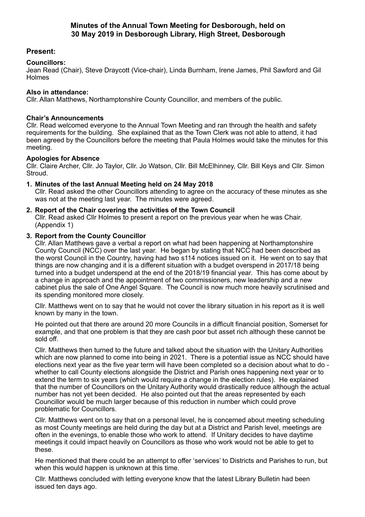# **Present:**

## **Councillors:**

Jean Read (Chair), Steve Draycott (Vice-chair), Linda Burnham, Irene James, Phil Sawford and Gil Holmes

### **Also in attendance:**

Cllr. Allan Matthews, Northamptonshire County Councillor, and members of the public.

## **Chair's Announcements**

Cllr. Read welcomed everyone to the Annual Town Meeting and ran through the health and safety requirements for the building. She explained that as the Town Clerk was not able to attend, it had been agreed by the Councillors before the meeting that Paula Holmes would take the minutes for this meeting.

### **Apologies for Absence**

Cllr. Claire Archer, Cllr. Jo Taylor, Cllr. Jo Watson, Cllr. Bill McElhinney, Cllr. Bill Keys and Cllr. Simon Stroud.

### **1. Minutes of the last Annual Meeting held on 24 May 2018**

Cllr. Read asked the other Councillors attending to agree on the accuracy of these minutes as she was not at the meeting last year. The minutes were agreed.

### **2. Report of the Chair covering the activities of the Town Council**

Cllr. Read asked Cllr Holmes to present a report on the previous year when he was Chair. (Appendix 1)

### **3. Report from the County Councillor**

Cllr. Allan Matthews gave a verbal a report on what had been happening at Northamptonshire County Council (NCC) over the last year. He began by stating that NCC had been described as the worst Council in the Country, having had two s114 notices issued on it. He went on to say that things are now changing and it is a different situation with a budget overspend in 2017/18 being turned into a budget underspend at the end of the 2018/19 financial year. This has come about by a change in approach and the appointment of two commissioners, new leadership and a new cabinet plus the sale of One Angel Square. The Council is now much more heavily scrutinised and its spending monitored more closely.

Cllr. Matthews went on to say that he would not cover the library situation in his report as it is well known by many in the town.

He pointed out that there are around 20 more Councils in a difficult financial position, Somerset for example, and that one problem is that they are cash poor but asset rich although these cannot be sold off.

Cllr. Matthews then turned to the future and talked about the situation with the Unitary Authorities which are now planned to come into being in 2021. There is a potential issue as NCC should have elections next year as the five year term will have been completed so a decision about what to do whether to call County elections alongside the District and Parish ones happening next year or to extend the term to six years (which would require a change in the election rules). He explained that the number of Councillors on the Unitary Authority would drastically reduce although the actual number has not yet been decided. He also pointed out that the areas represented by each Councillor would be much larger because of this reduction in number which could prove problematic for Councillors.

Cllr. Matthews went on to say that on a personal level, he is concerned about meeting scheduling as most County meetings are held during the day but at a District and Parish level, meetings are often in the evenings, to enable those who work to attend. If Unitary decides to have daytime meetings it could impact heavily on Councillors as those who work would not be able to get to these.

He mentioned that there could be an attempt to offer 'services' to Districts and Parishes to run, but when this would happen is unknown at this time.

Cllr. Matthews concluded with letting everyone know that the latest Library Bulletin had been issued ten days ago.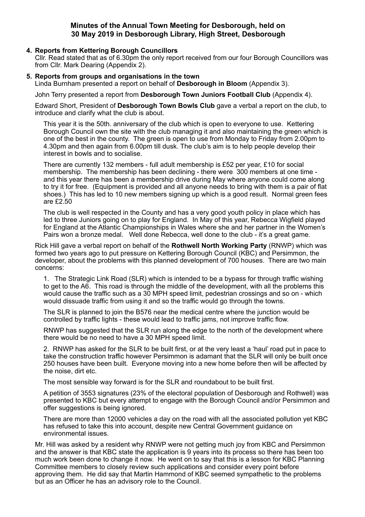## **4. Reports from Kettering Borough Councillors**

Cllr. Read stated that as of 6.30pm the only report received from our four Borough Councillors was from Cllr. Mark Dearing (Appendix 2).

#### **5. Reports from groups and organisations in the town**

Linda Burnham presented a report on behalf of **Desborough in Bloom** (Appendix 3).

John Terry presented a report from **Desborough Town Juniors Football Club** (Appendix 4).

Edward Short, President of **Desborough Town Bowls Club** gave a verbal a report on the club, to introduce and clarify what the club is about.

This year it is the 50th. anniversary of the club which is open to everyone to use. Kettering Borough Council own the site with the club managing it and also maintaining the green which is one of the best in the county. The green is open to use from Monday to Friday from 2.00pm to 4.30pm and then again from 6.00pm till dusk. The club's aim is to help people develop their interest in bowls and to socialise.

There are currently 132 members - full adult membership is £52 per year, £10 for social membership. The membership has been declining - there were 300 members at one time and this year there has been a membership drive during May where anyone could come along to try it for free. (Equipment is provided and all anyone needs to bring with them is a pair of flat shoes.) This has led to 10 new members signing up which is a good result. Normal green fees are £2.50

The club is well respected in the County and has a very good youth policy in place which has led to three Juniors going on to play for England. In May of this year, Rebecca Wigfield played for England at the Atlantic Championships in Wales where she and her partner in the Women's Pairs won a bronze medal. Well done Rebecca, well done to the club - it's a great game.

Rick Hill gave a verbal report on behalf of the **Rothwell North Working Party** (RNWP) which was formed two years ago to put pressure on Kettering Borough Council (KBC) and Persimmon, the developer, about the problems with this planned development of 700 houses. There are two main concerns:

1. The Strategic Link Road (SLR) which is intended to be a bypass for through traffic wishing to get to the A6. This road is through the middle of the development, with all the problems this would cause the traffic such as a 30 MPH speed limit, pedestrian crossings and so on - which would dissuade traffic from using it and so the traffic would go through the towns.

The SLR is planned to join the B576 near the medical centre where the junction would be controlled by traffic lights - these would lead to traffic jams, not improve traffic flow.

RNWP has suggested that the SLR run along the edge to the north of the development where there would be no need to have a 30 MPH speed limit.

2. RNWP has asked for the SLR to be built first, or at the very least a 'haul' road put in pace to take the construction traffic however Persimmon is adamant that the SLR will only be built once 250 houses have been built. Everyone moving into a new home before then will be affected by the noise, dirt etc.

The most sensible way forward is for the SLR and roundabout to be built first.

A petition of 3553 signatures (23% of the electoral population of Desborough and Rothwell) was presented to KBC but every attempt to engage with the Borough Council and/or Persimmon and offer suggestions is being ignored.

There are more than 12000 vehicles a day on the road with all the associated pollution yet KBC has refused to take this into account, despite new Central Government guidance on environmental issues.

Mr. Hill was asked by a resident why RNWP were not getting much joy from KBC and Persimmon and the answer is that KBC state the application is 9 years into its process so there has been too much work been done to change it now. He went on to say that this is a lesson for KBC Planning Committee members to closely review such applications and consider every point before approving them. He did say that Martin Hammond of KBC seemed sympathetic to the problems but as an Officer he has an advisory role to the Council.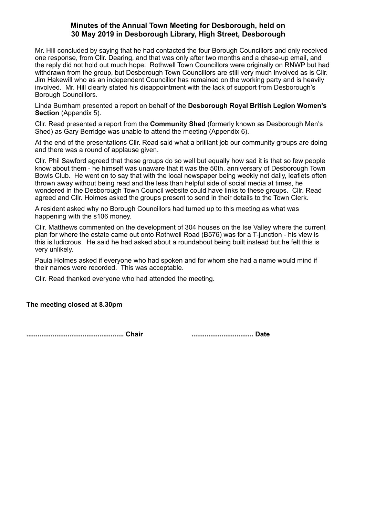Mr. Hill concluded by saying that he had contacted the four Borough Councillors and only received one response, from Cllr. Dearing, and that was only after two months and a chase-up email, and the reply did not hold out much hope. Rothwell Town Councillors were originally on RNWP but had withdrawn from the group, but Desborough Town Councillors are still very much involved as is Cllr. Jim Hakewill who as an independent Councillor has remained on the working party and is heavily involved. Mr. Hill clearly stated his disappointment with the lack of support from Desborough's Borough Councillors.

Linda Burnham presented a report on behalf of the **Desborough Royal British Legion Women's Section** (Appendix 5).

Cllr. Read presented a report from the **Community Shed** (formerly known as Desborough Men's Shed) as Gary Berridge was unable to attend the meeting (Appendix 6).

At the end of the presentations Cllr. Read said what a brilliant job our community groups are doing and there was a round of applause given.

Cllr. Phil Sawford agreed that these groups do so well but equally how sad it is that so few people know about them - he himself was unaware that it was the 50th. anniversary of Desborough Town Bowls Club. He went on to say that with the local newspaper being weekly not daily, leaflets often thrown away without being read and the less than helpful side of social media at times, he wondered in the Desborough Town Council website could have links to these groups. Cllr. Read agreed and Cllr. Holmes asked the groups present to send in their details to the Town Clerk.

A resident asked why no Borough Councillors had turned up to this meeting as what was happening with the s106 money.

Cllr. Matthews commented on the development of 304 houses on the Ise Valley where the current plan for where the estate came out onto Rothwell Road (B576) was for a T-junction - his view is this is ludicrous. He said he had asked about a roundabout being built instead but he felt this is very unlikely.

Paula Holmes asked if everyone who had spoken and for whom she had a name would mind if their names were recorded. This was acceptable.

Cllr. Read thanked everyone who had attended the meeting.

## **The meeting closed at 8.30pm**

**.................................................... Chair ................................. Date**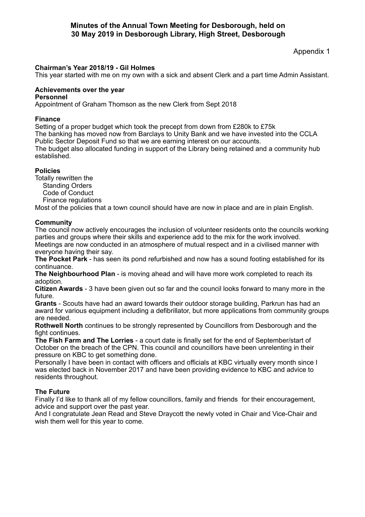Appendix 1

# **Chairman's Year 2018/19 - Gil Holmes**

This year started with me on my own with a sick and absent Clerk and a part time Admin Assistant.

#### **Achievements over the year Personnel**

Appointment of Graham Thomson as the new Clerk from Sept 2018

# **Finance**

Setting of a proper budget which took the precept from down from £280k to £75k

The banking has moved now from Barclays to Unity Bank and we have invested into the CCLA Public Sector Deposit Fund so that we are earning interest on our accounts.

The budget also allocated funding in support of the Library being retained and a community hub established.

## **Policies**

Totally rewritten the Standing Orders

- Code of Conduct
- Finance regulations

Most of the policies that a town council should have are now in place and are in plain English.

## **Community**

The council now actively encourages the inclusion of volunteer residents onto the councils working parties and groups where their skills and experience add to the mix for the work involved. Meetings are now conducted in an atmosphere of mutual respect and in a civilised manner with everyone having their say.

**The Pocket Park** - has seen its pond refurbished and now has a sound footing established for its continuance.

**The Neighbourhood Plan** - is moving ahead and will have more work completed to reach its adoption.

**Citizen Awards** - 3 have been given out so far and the council looks forward to many more in the future.

**Grants** - Scouts have had an award towards their outdoor storage building, Parkrun has had an award for various equipment including a defibrillator, but more applications from community groups are needed.

**Rothwell North** continues to be strongly represented by Councillors from Desborough and the fight continues.

**The Fish Farm and The Lorries** - a court date is finally set for the end of September/start of October on the breach of the CPN. This council and councillors have been unrelenting in their pressure on KBC to get something done.

Personally I have been in contact with officers and officials at KBC virtually every month since I was elected back in November 2017 and have been providing evidence to KBC and advice to residents throughout.

## **The Future**

Finally I'd like to thank all of my fellow councillors, family and friends for their encouragement, advice and support over the past year.

And I congratulate Jean Read and Steve Draycott the newly voted in Chair and Vice-Chair and wish them well for this year to come.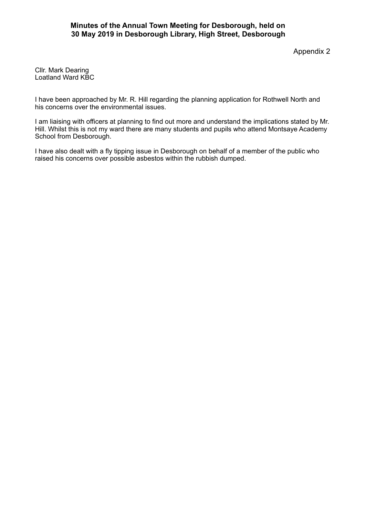Appendix 2

Cllr. Mark Dearing Loatland Ward KBC

I have been approached by Mr. R. Hill regarding the planning application for Rothwell North and his concerns over the environmental issues.

I am liaising with officers at planning to find out more and understand the implications stated by Mr. Hill. Whilst this is not my ward there are many students and pupils who attend Montsaye Academy School from Desborough.

I have also dealt with a fly tipping issue in Desborough on behalf of a member of the public who raised his concerns over possible asbestos within the rubbish dumped.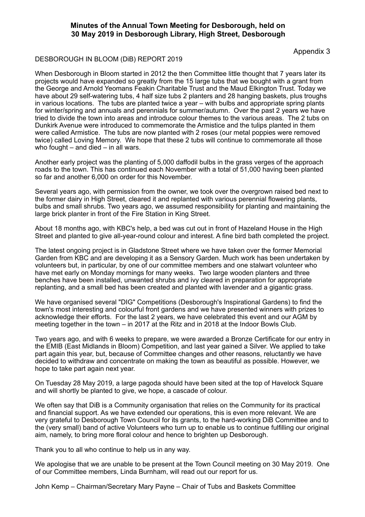Appendix 3

#### DESBOROUGH IN BLOOM (DiB) REPORT 2019

When Desborough in Bloom started in 2012 the then Committee little thought that 7 years later its projects would have expanded so greatly from the 15 large tubs that we bought with a grant from the George and Arnold Yeomans Feakin Charitable Trust and the Maud Elkington Trust. Today we have about 29 self-watering tubs, 4 half size tubs 2 planters and 28 hanging baskets, plus troughs in various locations. The tubs are planted twice a year – with bulbs and appropriate spring plants for winter/spring and annuals and perennials for summer/autumn. Over the past 2 years we have tried to divide the town into areas and introduce colour themes to the various areas. The 2 tubs on Dunkirk Avenue were introduced to commemorate the Armistice and the tulips planted in them were called Armistice. The tubs are now planted with 2 roses (our metal poppies were removed twice) called Loving Memory. We hope that these 2 tubs will continue to commemorate all those who fought – and died – in all wars.

Another early project was the planting of 5,000 daffodil bulbs in the grass verges of the approach roads to the town. This has continued each November with a total of 51,000 having been planted so far and another 6,000 on order for this November.

Several years ago, with permission from the owner, we took over the overgrown raised bed next to the former dairy in High Street, cleared it and replanted with various perennial flowering plants, bulbs and small shrubs. Two years ago, we assumed responsibility for planting and maintaining the large brick planter in front of the Fire Station in King Street.

About 18 months ago, with KBC's help, a bed was cut out in front of Hazeland House in the High Street and planted to give all-year-round colour and interest. A fine bird bath completed the project.

The latest ongoing project is in Gladstone Street where we have taken over the former Memorial Garden from KBC and are developing it as a Sensory Garden. Much work has been undertaken by volunteers but, in particular, by one of our committee members and one stalwart volunteer who have met early on Monday mornings for many weeks. Two large wooden planters and three benches have been installed, unwanted shrubs and ivy cleared in preparation for appropriate replanting, and a small bed has been created and planted with lavender and a gigantic grass.

We have organised several "DIG" Competitions (Desborough's Inspirational Gardens) to find the town's most interesting and colourful front gardens and we have presented winners with prizes to acknowledge their efforts. For the last 2 years, we have celebrated this event and our AGM by meeting together in the town – in 2017 at the Ritz and in 2018 at the Indoor Bowls Club.

Two years ago, and with 6 weeks to prepare, we were awarded a Bronze Certificate for our entry in the EMIB (East Midlands in Bloom) Competition, and last year gained a Silver. We applied to take part again this year, but, because of Committee changes and other reasons, reluctantly we have decided to withdraw and concentrate on making the town as beautiful as possible. However, we hope to take part again next year.

On Tuesday 28 May 2019, a large pagoda should have been sited at the top of Havelock Square and will shortly be planted to give, we hope, a cascade of colour.

We often say that DiB is a Community organisation that relies on the Community for its practical and financial support. As we have extended our operations, this is even more relevant. We are very grateful to Desborough Town Council for its grants, to the hard-working DiB Committee and to the (very small) band of active Volunteers who turn up to enable us to continue fulfilling our original aim, namely, to bring more floral colour and hence to brighten up Desborough.

Thank you to all who continue to help us in any way.

We apologise that we are unable to be present at the Town Council meeting on 30 May 2019. One of our Committee members, Linda Burnham, will read out our report for us.

John Kemp – Chairman/Secretary Mary Payne – Chair of Tubs and Baskets Committee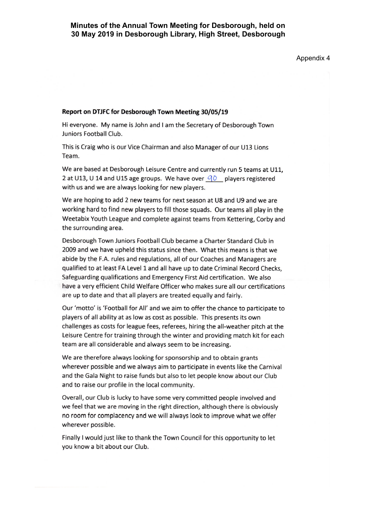Appendix 4

#### Report on DTJFC for Desborough Town Meeting 30/05/19

Hi everyone. My name is John and I am the Secretary of Desborough Town Juniors Football Club.

This is Craig who is our Vice Chairman and also Manager of our U13 Lions Team.

We are based at Desborough Leisure Centre and currently run 5 teams at U11, 2 at U13, U 14 and U15 age groups. We have over  $\overline{90}$  players registered with us and we are always looking for new players.

We are hoping to add 2 new teams for next season at U8 and U9 and we are working hard to find new players to fill those squads. Our teams all play in the Weetabix Youth League and complete against teams from Kettering, Corby and the surrounding area.

Desborough Town Juniors Football Club became a Charter Standard Club in 2009 and we have upheld this status since then. What this means is that we abide by the F.A. rules and regulations, all of our Coaches and Managers are qualified to at least FA Level 1 and all have up to date Criminal Record Checks, Safeguarding qualifications and Emergency First Aid certification. We also have a very efficient Child Welfare Officer who makes sure all our certifications are up to date and that all players are treated equally and fairly.

Our 'motto' is 'Football for All' and we aim to offer the chance to participate to players of all ability at as low as cost as possible. This presents its own challenges as costs for league fees, referees, hiring the all-weather pitch at the Leisure Centre for training through the winter and providing match kit for each team are all considerable and always seem to be increasing.

We are therefore always looking for sponsorship and to obtain grants wherever possible and we always aim to participate in events like the Carnival and the Gala Night to raise funds but also to let people know about our Club and to raise our profile in the local community.

Overall, our Club is lucky to have some very committed people involved and we feel that we are moving in the right direction, although there is obviously no room for complacency and we will always look to improve what we offer wherever possible.

Finally I would just like to thank the Town Council for this opportunity to let you know a bit about our Club.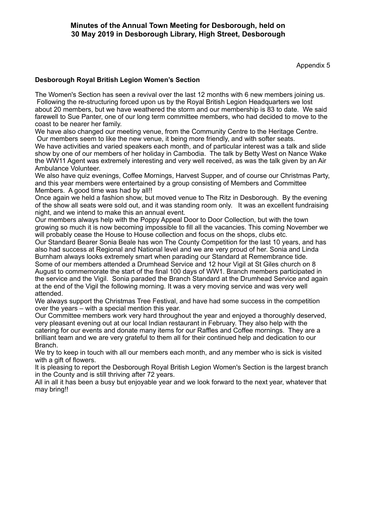Appendix 5

## **Desborough Royal British Legion Women's Section**

The Women's Section has seen a revival over the last 12 months with 6 new members joining us. Following the re-structuring forced upon us by the Royal British Legion Headquarters we lost about 20 members, but we have weathered the storm and our membership is 83 to date. We said farewell to Sue Panter, one of our long term committee members, who had decided to move to the coast to be nearer her family.

We have also changed our meeting venue, from the Community Centre to the Heritage Centre. Our members seem to like the new venue, it being more friendly, and with softer seats.

We have activities and varied speakers each month, and of particular interest was a talk and slide show by one of our members of her holiday in Cambodia. The talk by Betty West on Nance Wake the WW11 Agent was extremely interesting and very well received, as was the talk given by an Air Ambulance Volunteer.

We also have quiz evenings, Coffee Mornings, Harvest Supper, and of course our Christmas Party, and this year members were entertained by a group consisting of Members and Committee Members. A good time was had by all!!

Once again we held a fashion show, but moved venue to The Ritz in Desborough. By the evening of the show all seats were sold out, and it was standing room only. It was an excellent fundraising night, and we intend to make this an annual event.

Our members always help with the Poppy Appeal Door to Door Collection, but with the town growing so much it is now becoming impossible to fill all the vacancies. This coming November we will probably cease the House to House collection and focus on the shops, clubs etc.

Our Standard Bearer Sonia Beale has won The County Competition for the last 10 years, and has also had success at Regional and National level and we are very proud of her. Sonia and Linda Burnham always looks extremely smart when parading our Standard at Remembrance tide. Some of our members attended a Drumhead Service and 12 hour Vigil at St Giles church on 8 August to commemorate the start of the final 100 days of WW1. Branch members participated in the service and the Vigil. Sonia paraded the Branch Standard at the Drumhead Service and again at the end of the Vigil the following morning. It was a very moving service and was very well attended.

We always support the Christmas Tree Festival, and have had some success in the competition over the years – with a special mention this year.

Our Committee members work very hard throughout the year and enjoyed a thoroughly deserved, very pleasant evening out at our local Indian restaurant in February. They also help with the catering for our events and donate many items for our Raffles and Coffee mornings. They are a brilliant team and we are very grateful to them all for their continued help and dedication to our Branch.

We try to keep in touch with all our members each month, and any member who is sick is visited with a gift of flowers.

It is pleasing to report the Desborough Royal British Legion Women's Section is the largest branch in the County and is still thriving after 72 years.

All in all it has been a busy but enjoyable year and we look forward to the next year, whatever that may bring!!